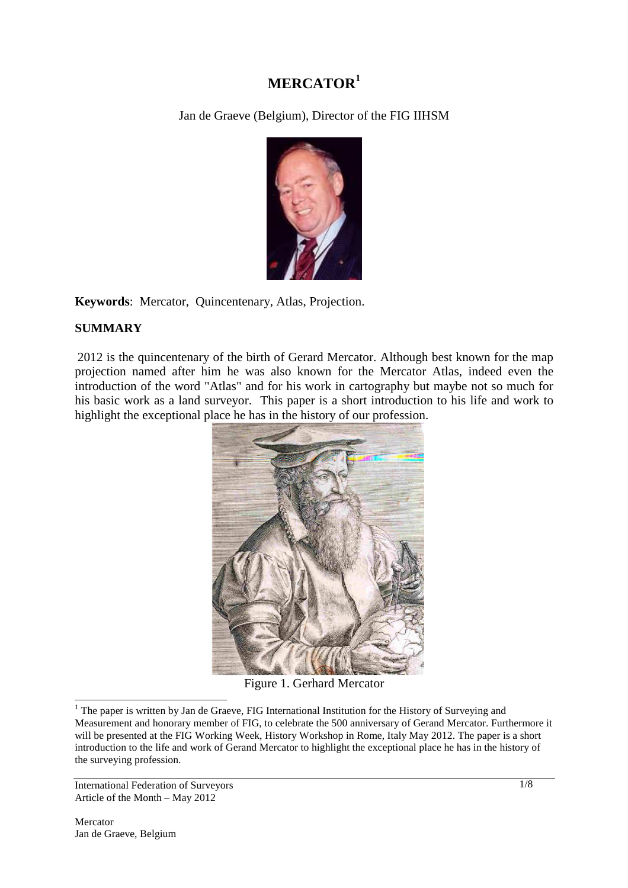# **MERCATOR<sup>1</sup>**

Jan de Graeve (Belgium), Director of the FIG IIHSM



**Keywords**: Mercator, Quincentenary, Atlas, Projection.

# **SUMMARY**

2012 is the quincentenary of the birth of Gerard Mercator. Although best known for the map projection named after him he was also known for the Mercator Atlas, indeed even the introduction of the word "Atlas" and for his work in cartography but maybe not so much for his basic work as a land surveyor. This paper is a short introduction to his life and work to highlight the exceptional place he has in the history of our profession.



Figure 1. Gerhard Mercator

International Federation of Surveyors Article of the Month – May 2012

 $\overline{a}$ 

<sup>&</sup>lt;sup>1</sup> The paper is written by Jan de Graeve, FIG International Institution for the History of Surveying and Measurement and honorary member of FIG, to celebrate the 500 anniversary of Gerand Mercator. Furthermore it will be presented at the FIG Working Week, History Workshop in Rome, Italy May 2012. The paper is a short introduction to the life and work of Gerand Mercator to highlight the exceptional place he has in the history of the surveying profession.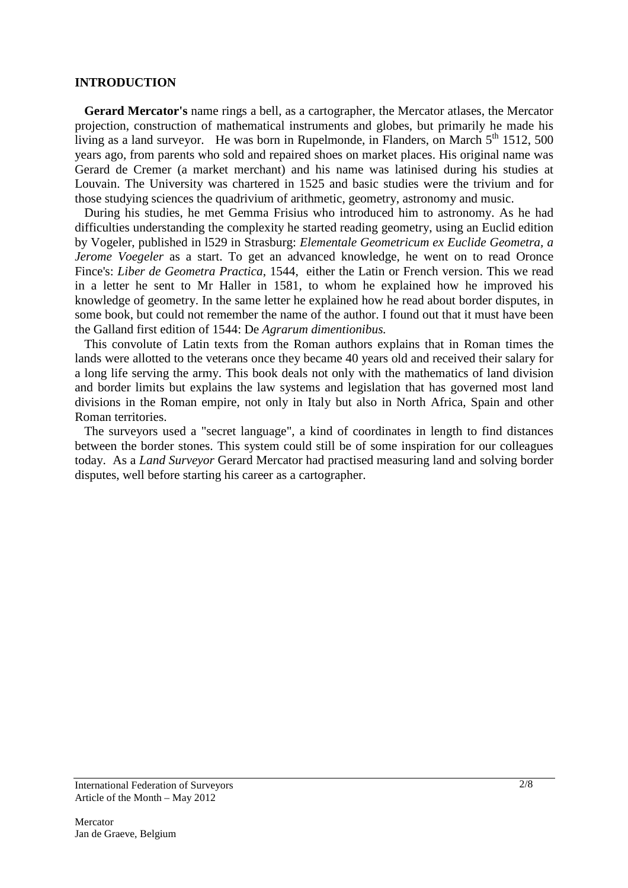#### **INTRODUCTION**

 **Gerard Mercator's** name rings a bell, as a cartographer, the Mercator atlases, the Mercator projection, construction of mathematical instruments and globes, but primarily he made his living as a land surveyor. He was born in Rupelmonde, in Flanders, on March  $5<sup>th</sup> 1512$ , 500 years ago, from parents who sold and repaired shoes on market places. His original name was Gerard de Cremer (a market merchant) and his name was latinised during his studies at Louvain. The University was chartered in 1525 and basic studies were the trivium and for those studying sciences the quadrivium of arithmetic, geometry, astronomy and music.

 During his studies, he met Gemma Frisius who introduced him to astronomy. As he had difficulties understanding the complexity he started reading geometry, using an Euclid edition by Vogeler, published in l529 in Strasburg: *Elementale Geometricum ex Euclide Geometra, a Jerome Voegeler* as a start. To get an advanced knowledge, he went on to read Oronce Fince's: *Liber de Geometra Practica*, 1544, either the Latin or French version. This we read in a letter he sent to Mr Haller in 1581, to whom he explained how he improved his knowledge of geometry. In the same letter he explained how he read about border disputes, in some book, but could not remember the name of the author. I found out that it must have been the Galland first edition of 1544: De *Agrarum dimentionibus.* 

 This convolute of Latin texts from the Roman authors explains that in Roman times the lands were allotted to the veterans once they became 40 years old and received their salary for a long life serving the army. This book deals not only with the mathematics of land division and border limits but explains the law systems and legislation that has governed most land divisions in the Roman empire, not only in Italy but also in North Africa, Spain and other Roman territories.

 The surveyors used a "secret language", a kind of coordinates in length to find distances between the border stones. This system could still be of some inspiration for our colleagues today. As a *Land Surveyor* Gerard Mercator had practised measuring land and solving border disputes, well before starting his career as a cartographer.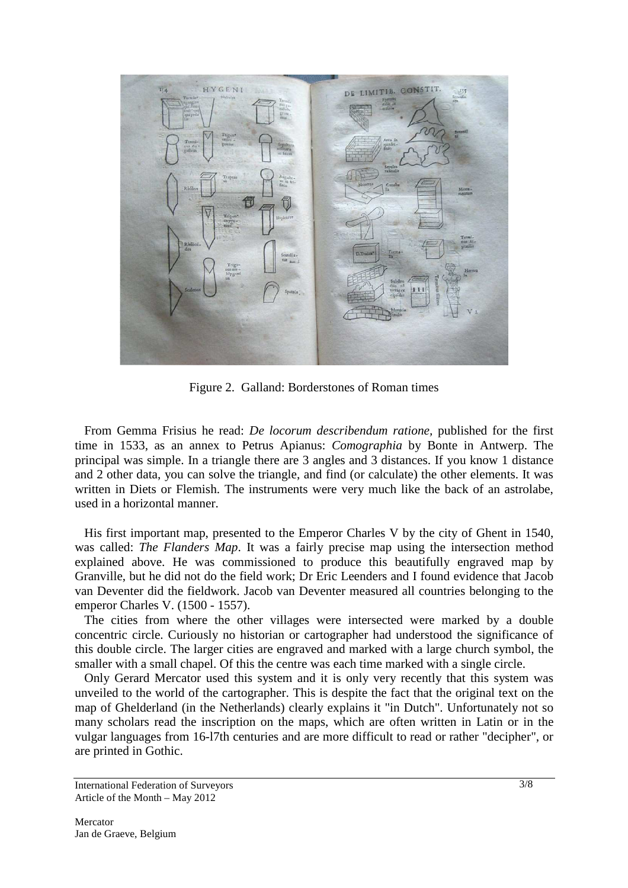

Figure 2. Galland: Borderstones of Roman times

 From Gemma Frisius he read: *De locorum describendum ratione,* published for the first time in 1533, as an annex to Petrus Apianus: *Comographia* by Bonte in Antwerp. The principal was simple. In a triangle there are 3 angles and 3 distances. If you know 1 distance and 2 other data, you can solve the triangle, and find (or calculate) the other elements. It was written in Diets or Flemish. The instruments were very much like the back of an astrolabe, used in a horizontal manner.

 His first important map, presented to the Emperor Charles V by the city of Ghent in 1540, was called: *The Flanders Map*. It was a fairly precise map using the intersection method explained above. He was commissioned to produce this beautifully engraved map by Granville, but he did not do the field work; Dr Eric Leenders and I found evidence that Jacob van Deventer did the fieldwork. Jacob van Deventer measured all countries belonging to the emperor Charles V. (1500 - 1557).

 The cities from where the other villages were intersected were marked by a double concentric circle. Curiously no historian or cartographer had understood the significance of this double circle. The larger cities are engraved and marked with a large church symbol, the smaller with a small chapel. Of this the centre was each time marked with a single circle.

 Only Gerard Mercator used this system and it is only very recently that this system was unveiled to the world of the cartographer. This is despite the fact that the original text on the map of Ghelderland (in the Netherlands) clearly explains it "in Dutch". Unfortunately not so many scholars read the inscription on the maps, which are often written in Latin or in the vulgar languages from 16-l7th centuries and are more difficult to read or rather "decipher", or are printed in Gothic.

International Federation of Surveyors Article of the Month – May 2012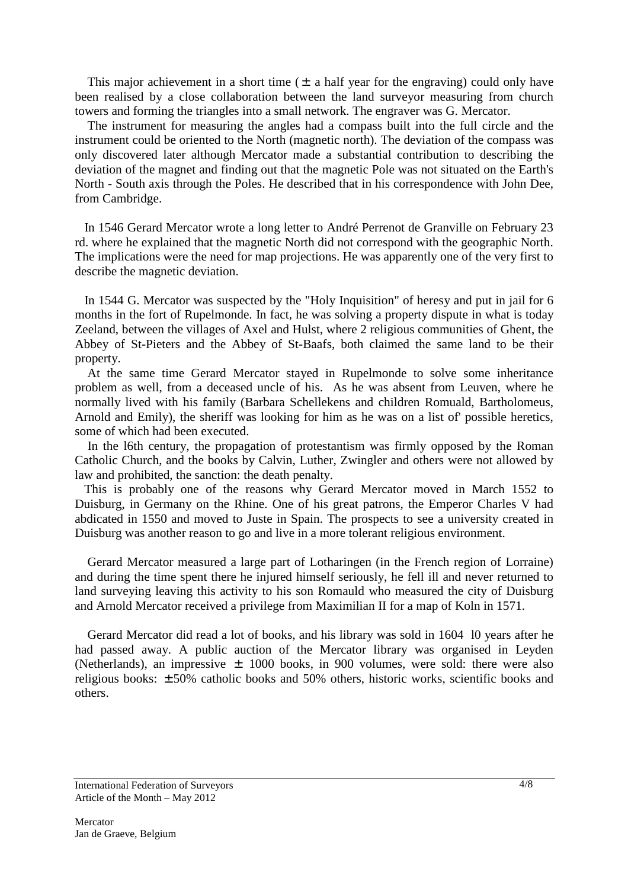This major achievement in a short time  $(\pm$  a half year for the engraving) could only have been realised by a close collaboration between the land surveyor measuring from church towers and forming the triangles into a small network. The engraver was G. Mercator.

 The instrument for measuring the angles had a compass built into the full circle and the instrument could be oriented to the North (magnetic north). The deviation of the compass was only discovered later although Mercator made a substantial contribution to describing the deviation of the magnet and finding out that the magnetic Pole was not situated on the Earth's North - South axis through the Poles. He described that in his correspondence with John Dee, from Cambridge.

 In 1546 Gerard Mercator wrote a long letter to André Perrenot de Granville on February 23 rd. where he explained that the magnetic North did not correspond with the geographic North. The implications were the need for map projections. He was apparently one of the very first to describe the magnetic deviation.

 In 1544 G. Mercator was suspected by the "Holy Inquisition" of heresy and put in jail for 6 months in the fort of Rupelmonde. In fact, he was solving a property dispute in what is today Zeeland, between the villages of Axel and Hulst, where 2 religious communities of Ghent, the Abbey of St-Pieters and the Abbey of St-Baafs, both claimed the same land to be their property.

 At the same time Gerard Mercator stayed in Rupelmonde to solve some inheritance problem as well, from a deceased uncle of his. As he was absent from Leuven, where he normally lived with his family (Barbara Schellekens and children Romuald, Bartholomeus, Arnold and Emily), the sheriff was looking for him as he was on a list of' possible heretics, some of which had been executed.

 In the l6th century, the propagation of protestantism was firmly opposed by the Roman Catholic Church, and the books by Calvin, Luther, Zwingler and others were not allowed by law and prohibited, the sanction: the death penalty.

 This is probably one of the reasons why Gerard Mercator moved in March 1552 to Duisburg, in Germany on the Rhine. One of his great patrons, the Emperor Charles V had abdicated in 1550 and moved to Juste in Spain. The prospects to see a university created in Duisburg was another reason to go and live in a more tolerant religious environment.

 Gerard Mercator measured a large part of Lotharingen (in the French region of Lorraine) and during the time spent there he injured himself seriously, he fell ill and never returned to land surveying leaving this activity to his son Romauld who measured the city of Duisburg and Arnold Mercator received a privilege from Maximilian II for a map of Koln in 1571.

 Gerard Mercator did read a lot of books, and his library was sold in 1604 l0 years after he had passed away. A public auction of the Mercator library was organised in Leyden (Netherlands), an impressive  $\pm$  1000 books, in 900 volumes, were sold: there were also religious books: ± 50% catholic books and 50% others, historic works, scientific books and others.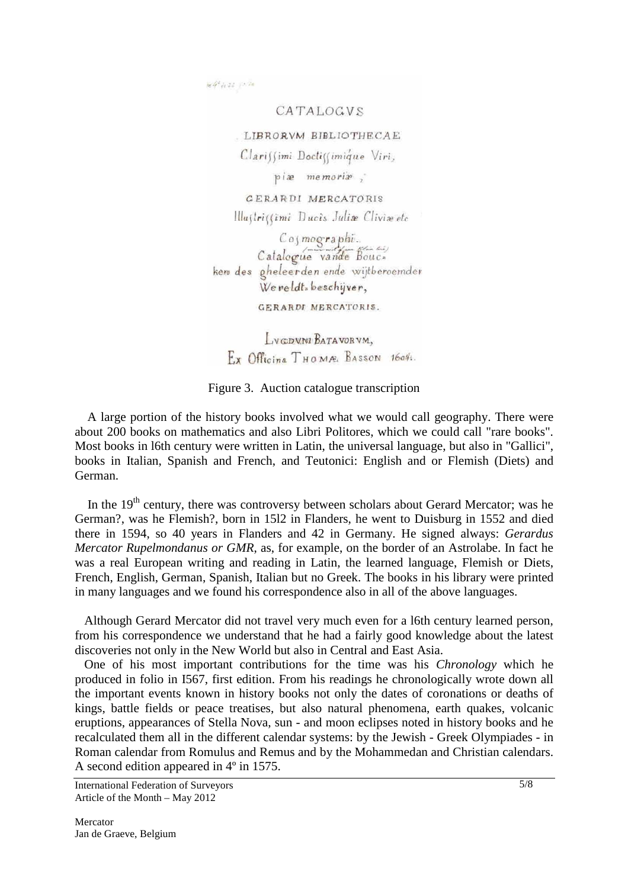$164^{2} + 22 + 1076$ 

CATALOGVS

LIBRORVM BIBLIOTHECAE

Clarissimi Doctissimique Viri,

piæ memoriæ,

GERARDI MERCATORIS Illustrissimi Ducis Julia Clivia etc

Cosmographi<br>Catalogue vande Bouc.<br>kem des gheleerden ende wijtberoemden Wereldt-beschijver,

GERARDI MERCATORIS.

LVGDVNI BATAVORVM. Ex Officing THOMAS BASSON 1604.

Figure 3. Auction catalogue transcription

 A large portion of the history books involved what we would call geography. There were about 200 books on mathematics and also Libri Politores, which we could call "rare books". Most books in l6th century were written in Latin, the universal language, but also in "Gallici", books in Italian, Spanish and French, and Teutonici: English and or Flemish (Diets) and German.

In the  $19<sup>th</sup>$  century, there was controversy between scholars about Gerard Mercator; was he German?, was he Flemish?, born in 15l2 in Flanders, he went to Duisburg in 1552 and died there in 1594, so 40 years in Flanders and 42 in Germany. He signed always: *Gerardus Mercator Rupelmondanus or GMR*, as, for example, on the border of an Astrolabe. In fact he was a real European writing and reading in Latin, the learned language, Flemish or Diets, French, English, German, Spanish, Italian but no Greek. The books in his library were printed in many languages and we found his correspondence also in all of the above languages.

 Although Gerard Mercator did not travel very much even for a l6th century learned person, from his correspondence we understand that he had a fairly good knowledge about the latest discoveries not only in the New World but also in Central and East Asia.

 One of his most important contributions for the time was his *Chronology* which he produced in folio in I567, first edition. From his readings he chronologically wrote down all the important events known in history books not only the dates of coronations or deaths of kings, battle fields or peace treatises, but also natural phenomena, earth quakes, volcanic eruptions, appearances of Stella Nova, sun - and moon eclipses noted in history books and he recalculated them all in the different calendar systems: by the Jewish - Greek Olympiades - in Roman calendar from Romulus and Remus and by the Mohammedan and Christian calendars. A second edition appeared in 4º in 1575.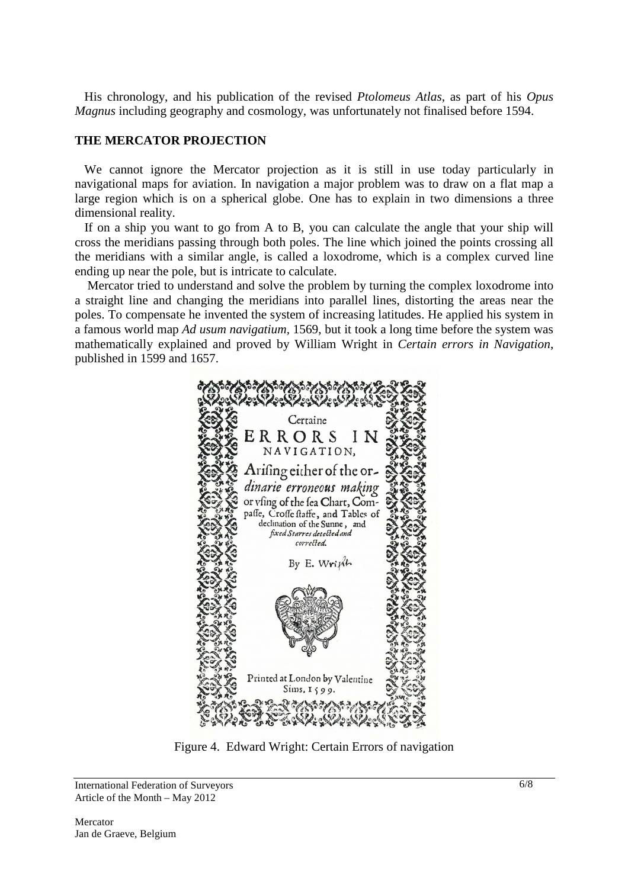His chronology, and his publication of the revised *Ptolomeus Atlas*, as part of his *Opus Magnus* including geography and cosmology, was unfortunately not finalised before 1594.

#### **THE MERCATOR PROJECTION**

 We cannot ignore the Mercator projection as it is still in use today particularly in navigational maps for aviation. In navigation a major problem was to draw on a flat map a large region which is on a spherical globe. One has to explain in two dimensions a three dimensional reality.

 If on a ship you want to go from A to B, you can calculate the angle that your ship will cross the meridians passing through both poles. The line which joined the points crossing all the meridians with a similar angle, is called a loxodrome, which is a complex curved line ending up near the pole, but is intricate to calculate.

 Mercator tried to understand and solve the problem by turning the complex loxodrome into a straight line and changing the meridians into parallel lines, distorting the areas near the poles. To compensate he invented the system of increasing latitudes. He applied his system in a famous world map *Ad usum navigatium,* 1569, but it took a long time before the system was mathematically explained and proved by William Wright in *Certain errors in Navigation*, published in 1599 and 1657.



Figure 4. Edward Wright: Certain Errors of navigation

International Federation of Surveyors Article of the Month – May 2012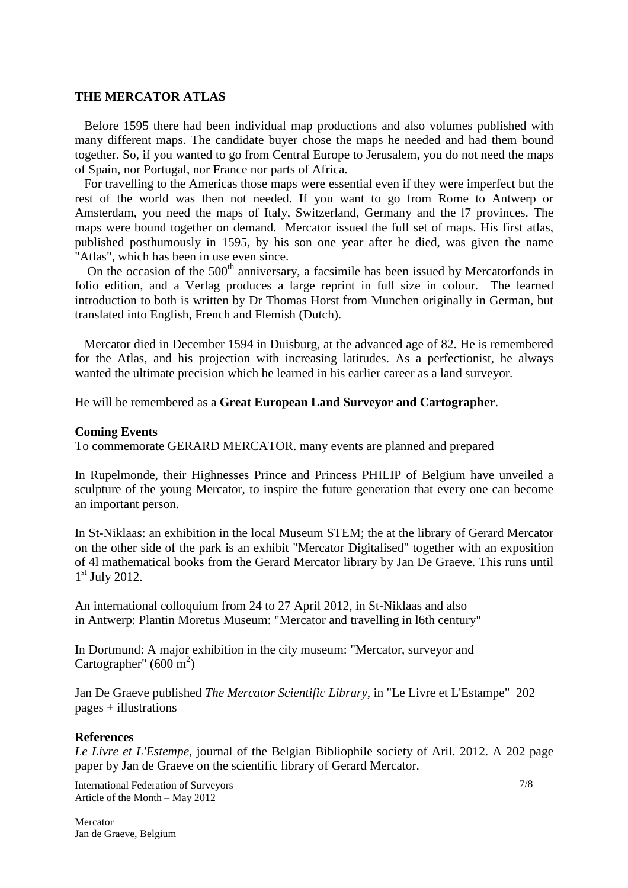#### **THE MERCATOR ATLAS**

 Before 1595 there had been individual map productions and also volumes published with many different maps. The candidate buyer chose the maps he needed and had them bound together. So, if you wanted to go from Central Europe to Jerusalem, you do not need the maps of Spain, nor Portugal, nor France nor parts of Africa.

 For travelling to the Americas those maps were essential even if they were imperfect but the rest of the world was then not needed. If you want to go from Rome to Antwerp or Amsterdam, you need the maps of Italy, Switzerland, Germany and the l7 provinces. The maps were bound together on demand. Mercator issued the full set of maps. His first atlas, published posthumously in 1595, by his son one year after he died, was given the name "Atlas", which has been in use even since.

On the occasion of the  $500<sup>th</sup>$  anniversary, a facsimile has been issued by Mercatorfonds in folio edition, and a Verlag produces a large reprint in full size in colour. The learned introduction to both is written by Dr Thomas Horst from Munchen originally in German, but translated into English, French and Flemish (Dutch).

 Mercator died in December 1594 in Duisburg, at the advanced age of 82. He is remembered for the Atlas, and his projection with increasing latitudes. As a perfectionist, he always wanted the ultimate precision which he learned in his earlier career as a land surveyor.

He will be remembered as a **Great European Land Surveyor and Cartographer**.

#### **Coming Events**

To commemorate GERARD MERCATOR. many events are planned and prepared

In Rupelmonde, their Highnesses Prince and Princess PHILIP of Belgium have unveiled a sculpture of the young Mercator, to inspire the future generation that every one can become an important person.

In St-Niklaas: an exhibition in the local Museum STEM; the at the library of Gerard Mercator on the other side of the park is an exhibit "Mercator Digitalised" together with an exposition of 4l mathematical books from the Gerard Mercator library by Jan De Graeve. This runs until 1<sup>st</sup> July 2012.

An international colloquium from 24 to 27 April 2012, in St-Niklaas and also in Antwerp: Plantin Moretus Museum: "Mercator and travelling in l6th century"

In Dortmund: A major exhibition in the city museum: "Mercator, surveyor and Cartographer"  $(600 \text{ m}^2)$ 

Jan De Graeve published *The Mercator Scientific Library*, in "Le Livre et L'Estampe" 202 pages + illustrations

### **References**

*Le Livre et L'Estempe*, journal of the Belgian Bibliophile society of Aril. 2012. A 202 page paper by Jan de Graeve on the scientific library of Gerard Mercator.